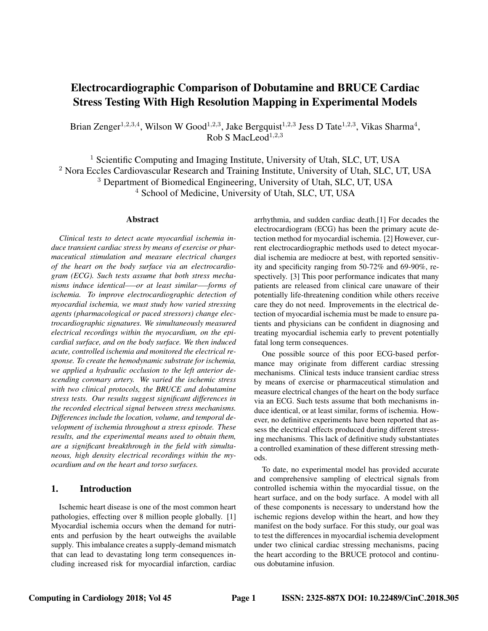# Electrocardiographic Comparison of Dobutamine and BRUCE Cardiac Stress Testing With High Resolution Mapping in Experimental Models

Brian Zenger<sup>1,2,3,4</sup>, Wilson W Good<sup>1,2,3</sup>, Jake Bergquist<sup>1,2,3</sup> Jess D Tate<sup>1,2,3</sup>, Vikas Sharma<sup>4</sup>,  $Rob S MacLeod<sup>1,2,3</sup>$ 

<sup>1</sup> Scientific Computing and Imaging Institute, University of Utah, SLC, UT, USA <sup>2</sup> Nora Eccles Cardiovascular Research and Training Institute, University of Utah, SLC, UT, USA <sup>3</sup> Department of Biomedical Engineering, University of Utah, SLC, UT, USA

<sup>4</sup> School of Medicine, University of Utah, SLC, UT, USA

#### Abstract

*Clinical tests to detect acute myocardial ischemia induce transient cardiac stress by means of exercise or pharmaceutical stimulation and measure electrical changes of the heart on the body surface via an electrocardiogram (ECG). Such tests assume that both stress mechanisms induce identical–—or at least similar—–forms of ischemia. To improve electrocardiographic detection of myocardial ischemia, we must study how varied stressing agents (pharmacological or paced stressors) change electrocardiographic signatures. We simultaneously measured electrical recordings within the myocardium, on the epicardial surface, and on the body surface. We then induced acute, controlled ischemia and monitored the electrical response. To create the hemodynamic substrate for ischemia, we applied a hydraulic occlusion to the left anterior descending coronary artery. We varied the ischemic stress with two clinical protocols, the BRUCE and dobutamine stress tests. Our results suggest significant differences in the recorded electrical signal between stress mechanisms. Differences include the location, volume, and temporal development of ischemia throughout a stress episode. These results, and the experimental means used to obtain them, are a significant breakthrough in the field with simultaneous, high density electrical recordings within the myocardium and on the heart and torso surfaces.*

# 1. Introduction

Ischemic heart disease is one of the most common heart pathologies, effecting over 8 million people globally. [1] Myocardial ischemia occurs when the demand for nutrients and perfusion by the heart outweighs the available supply. This imbalance creates a supply-demand mismatch that can lead to devastating long term consequences including increased risk for myocardial infarction, cardiac arrhythmia, and sudden cardiac death.[1] For decades the electrocardiogram (ECG) has been the primary acute detection method for myocardial ischemia. [2] However, current electrocardiographic methods used to detect myocardial ischemia are mediocre at best, with reported sensitivity and specificity ranging from 50-72% and 69-90%, respectively. [3] This poor performance indicates that many patients are released from clinical care unaware of their potentially life-threatening condition while others receive care they do not need. Improvements in the electrical detection of myocardial ischemia must be made to ensure patients and physicians can be confident in diagnosing and treating myocardial ischemia early to prevent potentially fatal long term consequences.

One possible source of this poor ECG-based performance may originate from different cardiac stressing mechanisms. Clinical tests induce transient cardiac stress by means of exercise or pharmaceutical stimulation and measure electrical changes of the heart on the body surface via an ECG. Such tests assume that both mechanisms induce identical, or at least similar, forms of ischemia. However, no definitive experiments have been reported that assess the electrical effects produced during different stressing mechanisms. This lack of definitive study substantiates a controlled examination of these different stressing methods.

To date, no experimental model has provided accurate and comprehensive sampling of electrical signals from controlled ischemia within the myocardial tissue, on the heart surface, and on the body surface. A model with all of these components is necessary to understand how the ischemic regions develop within the heart, and how they manifest on the body surface. For this study, our goal was to test the differences in myocardial ischemia development under two clinical cardiac stressing mechanisms, pacing the heart according to the BRUCE protocol and continuous dobutamine infusion.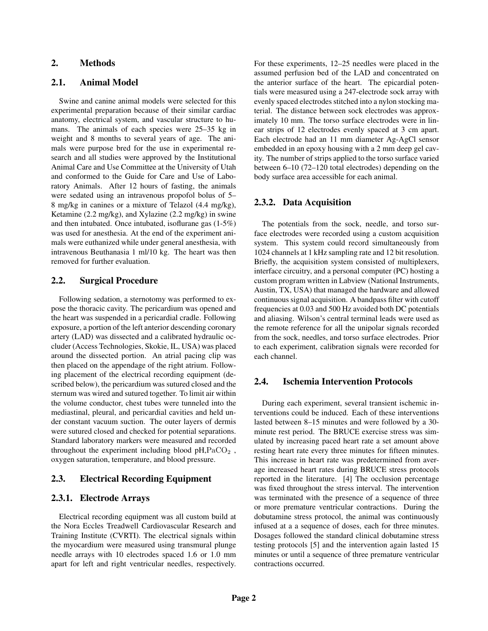## 2. Methods

#### 2.1. Animal Model

Swine and canine animal models were selected for this experimental preparation because of their similar cardiac anatomy, electrical system, and vascular structure to humans. The animals of each species were 25–35 kg in weight and 8 months to several years of age. The animals were purpose bred for the use in experimental research and all studies were approved by the Institutional Animal Care and Use Committee at the University of Utah and conformed to the Guide for Care and Use of Laboratory Animals. After 12 hours of fasting, the animals were sedated using an intravenous propofol bolus of 5– 8 mg/kg in canines or a mixture of Telazol (4.4 mg/kg), Ketamine (2.2 mg/kg), and Xylazine (2.2 mg/kg) in swine and then intubated. Once intubated, isoflurane gas (1-5%) was used for anesthesia. At the end of the experiment animals were euthanized while under general anesthesia, with intravenous Beuthanasia 1 ml/10 kg. The heart was then removed for further evaluation.

## 2.2. Surgical Procedure

Following sedation, a sternotomy was performed to expose the thoracic cavity. The pericardium was opened and the heart was suspended in a pericardial cradle. Following exposure, a portion of the left anterior descending coronary artery (LAD) was dissected and a calibrated hydraulic occluder (Access Technologies, Skokie, IL, USA) was placed around the dissected portion. An atrial pacing clip was then placed on the appendage of the right atrium. Following placement of the electrical recording equipment (described below), the pericardium was sutured closed and the sternum was wired and sutured together. To limit air within the volume conductor, chest tubes were tunneled into the mediastinal, pleural, and pericardial cavities and held under constant vacuum suction. The outer layers of dermis were sutured closed and checked for potential separations. Standard laboratory markers were measured and recorded throughout the experiment including blood  $pH, PaCO<sub>2</sub>$ , oxygen saturation, temperature, and blood pressure.

## 2.3. Electrical Recording Equipment

#### 2.3.1. Electrode Arrays

Electrical recording equipment was all custom build at the Nora Eccles Treadwell Cardiovascular Research and Training Institute (CVRTI). The electrical signals within the myocardium were measured using transmural plunge needle arrays with 10 electrodes spaced 1.6 or 1.0 mm apart for left and right ventricular needles, respectively. For these experiments, 12–25 needles were placed in the assumed perfusion bed of the LAD and concentrated on the anterior surface of the heart. The epicardial potentials were measured using a 247-electrode sock array with evenly spaced electrodes stitched into a nylon stocking material. The distance between sock electrodes was approximately 10 mm. The torso surface electrodes were in linear strips of 12 electrodes evenly spaced at 3 cm apart. Each electrode had an 11 mm diameter Ag-AgCl sensor embedded in an epoxy housing with a 2 mm deep gel cavity. The number of strips applied to the torso surface varied between 6–10 (72–120 total electrodes) depending on the body surface area accessible for each animal.

#### 2.3.2. Data Acquisition

The potentials from the sock, needle, and torso surface electrodes were recorded using a custom acquisition system. This system could record simultaneously from 1024 channels at 1 kHz sampling rate and 12 bit resolution. Briefly, the acquisition system consisted of multiplexers, interface circuitry, and a personal computer (PC) hosting a custom program written in Labview (National Instruments, Austin, TX, USA) that managed the hardware and allowed continuous signal acquisition. A bandpass filter with cutoff frequencies at 0.03 and 500 Hz avoided both DC potentials and aliasing. Wilson's central terminal leads were used as the remote reference for all the unipolar signals recorded from the sock, needles, and torso surface electrodes. Prior to each experiment, calibration signals were recorded for each channel.

#### 2.4. Ischemia Intervention Protocols

During each experiment, several transient ischemic interventions could be induced. Each of these interventions lasted between 8–15 minutes and were followed by a 30 minute rest period. The BRUCE exercise stress was simulated by increasing paced heart rate a set amount above resting heart rate every three minutes for fifteen minutes. This increase in heart rate was predetermined from average increased heart rates during BRUCE stress protocols reported in the literature. [4] The occlusion percentage was fixed throughout the stress interval. The intervention was terminated with the presence of a sequence of three or more premature ventricular contractions. During the dobutamine stress protocol, the animal was continuously infused at a a sequence of doses, each for three minutes. Dosages followed the standard clinical dobutamine stress testing protocols [5] and the intervention again lasted 15 minutes or until a sequence of three premature ventricular contractions occurred.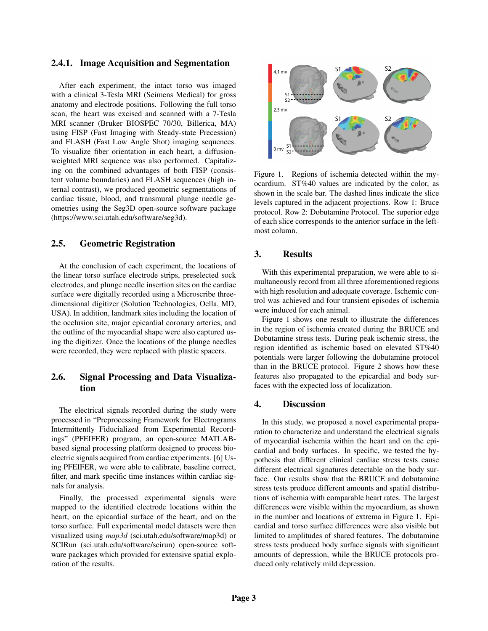#### 2.4.1. Image Acquisition and Segmentation

After each experiment, the intact torso was imaged with a clinical 3-Tesla MRI (Seimens Medical) for gross anatomy and electrode positions. Following the full torso scan, the heart was excised and scanned with a 7-Tesla MRI scanner (Bruker BIOSPEC 70/30, Billerica, MA) using FISP (Fast Imaging with Steady-state Precession) and FLASH (Fast Low Angle Shot) imaging sequences. To visualize fiber orientation in each heart, a diffusionweighted MRI sequence was also performed. Capitalizing on the combined advantages of both FISP (consistent volume boundaries) and FLASH sequences (high internal contrast), we produced geometric segmentations of cardiac tissue, blood, and transmural plunge needle geometries using the Seg3D open-source software package (https://www.sci.utah.edu/software/seg3d).

# 2.5. Geometric Registration

At the conclusion of each experiment, the locations of the linear torso surface electrode strips, preselected sock electrodes, and plunge needle insertion sites on the cardiac surface were digitally recorded using a Microscribe threedimensional digitizer (Solution Technologies, Oella, MD, USA). In addition, landmark sites including the location of the occlusion site, major epicardial coronary arteries, and the outline of the myocardial shape were also captured using the digitizer. Once the locations of the plunge needles were recorded, they were replaced with plastic spacers.

# 2.6. Signal Processing and Data Visualization

The electrical signals recorded during the study were processed in "Preprocessing Framework for Electrograms Intermittently Fiducialized from Experimental Recordings" (PFEIFER) program, an open-source MATLABbased signal processing platform designed to process bioelectric signals acquired from cardiac experiments. [6] Using PFEIFER, we were able to calibrate, baseline correct, filter, and mark specific time instances within cardiac signals for analysis.

Finally, the processed experimental signals were mapped to the identified electrode locations within the heart, on the epicardial surface of the heart, and on the torso surface. Full experimental model datasets were then visualized using *map3d* (sci.utah.edu/software/map3d) or SCIRun (sci.utah.edu/software/scirun) open-source software packages which provided for extensive spatial exploration of the results.



Figure 1. Regions of ischemia detected within the myocardium. ST%40 values are indicated by the color, as shown in the scale bar. The dashed lines indicate the slice levels captured in the adjacent projections. Row 1: Bruce protocol. Row 2: Dobutamine Protocol. The superior edge of each slice corresponds to the anterior surface in the leftmost column.

# 3. Results

With this experimental preparation, we were able to simultaneously record from all three aforementioned regions with high resolution and adequate coverage. Ischemic control was achieved and four transient episodes of ischemia were induced for each animal.

Figure 1 shows one result to illustrate the differences in the region of ischemia created during the BRUCE and Dobutamine stress tests. During peak ischemic stress, the region identified as ischemic based on elevated ST%40 potentials were larger following the dobutamine protocol than in the BRUCE protocol. Figure 2 shows how these features also propagated to the epicardial and body surfaces with the expected loss of localization.

## 4. Discussion

In this study, we proposed a novel experimental preparation to characterize and understand the electrical signals of myocardial ischemia within the heart and on the epicardial and body surfaces. In specific, we tested the hypothesis that different clinical cardiac stress tests cause different electrical signatures detectable on the body surface. Our results show that the BRUCE and dobutamine stress tests produce different amounts and spatial distributions of ischemia with comparable heart rates. The largest differences were visible within the myocardium, as shown in the number and locations of extrema in Figure 1. Epicardial and torso surface differences were also visible but limited to amplitudes of shared features. The dobutamine stress tests produced body surface signals with significant amounts of depression, while the BRUCE protocols produced only relatively mild depression.